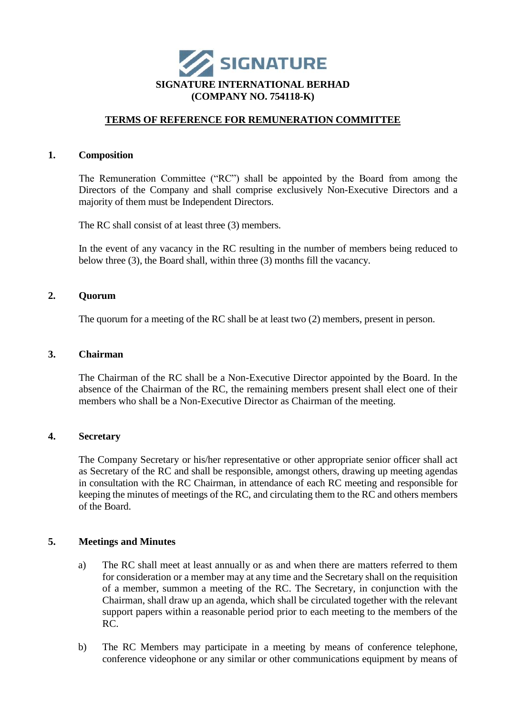

# **TERMS OF REFERENCE FOR REMUNERATION COMMITTEE**

## **1. Composition**

The Remuneration Committee ("RC") shall be appointed by the Board from among the Directors of the Company and shall comprise exclusively Non-Executive Directors and a majority of them must be Independent Directors.

The RC shall consist of at least three (3) members.

In the event of any vacancy in the RC resulting in the number of members being reduced to below three (3), the Board shall, within three (3) months fill the vacancy.

# **2. Quorum**

The quorum for a meeting of the RC shall be at least two (2) members, present in person.

## **3. Chairman**

The Chairman of the RC shall be a Non-Executive Director appointed by the Board. In the absence of the Chairman of the RC, the remaining members present shall elect one of their members who shall be a Non-Executive Director as Chairman of the meeting.

## **4. Secretary**

The Company Secretary or his/her representative or other appropriate senior officer shall act as Secretary of the RC and shall be responsible, amongst others, drawing up meeting agendas in consultation with the RC Chairman, in attendance of each RC meeting and responsible for keeping the minutes of meetings of the RC, and circulating them to the RC and others members of the Board.

## **5. Meetings and Minutes**

- a) The RC shall meet at least annually or as and when there are matters referred to them for consideration or a member may at any time and the Secretary shall on the requisition of a member, summon a meeting of the RC. The Secretary, in conjunction with the Chairman, shall draw up an agenda, which shall be circulated together with the relevant support papers within a reasonable period prior to each meeting to the members of the RC.
- b) The RC Members may participate in a meeting by means of conference telephone, conference videophone or any similar or other communications equipment by means of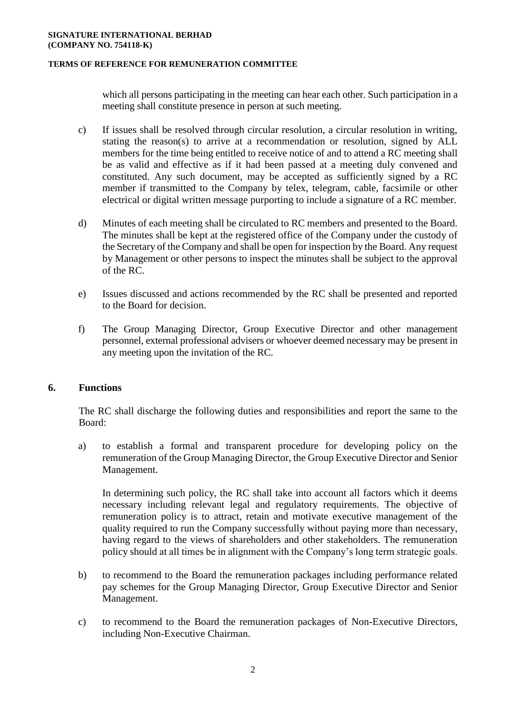#### **SIGNATURE INTERNATIONAL BERHAD (COMPANY NO. 754118-K)**

## **TERMS OF REFERENCE FOR REMUNERATION COMMITTEE**

which all persons participating in the meeting can hear each other. Such participation in a meeting shall constitute presence in person at such meeting.

- c) If issues shall be resolved through circular resolution, a circular resolution in writing, stating the reason(s) to arrive at a recommendation or resolution, signed by ALL members for the time being entitled to receive notice of and to attend a RC meeting shall be as valid and effective as if it had been passed at a meeting duly convened and constituted. Any such document, may be accepted as sufficiently signed by a RC member if transmitted to the Company by telex, telegram, cable, facsimile or other electrical or digital written message purporting to include a signature of a RC member.
- d) Minutes of each meeting shall be circulated to RC members and presented to the Board. The minutes shall be kept at the registered office of the Company under the custody of the Secretary of the Company and shall be open for inspection by the Board. Any request by Management or other persons to inspect the minutes shall be subject to the approval of the RC.
- e) Issues discussed and actions recommended by the RC shall be presented and reported to the Board for decision.
- f) The Group Managing Director, Group Executive Director and other management personnel, external professional advisers or whoever deemed necessary may be present in any meeting upon the invitation of the RC.

# **6. Functions**

The RC shall discharge the following duties and responsibilities and report the same to the Board:

a) to establish a formal and transparent procedure for developing policy on the remuneration of the Group Managing Director, the Group Executive Director and Senior Management.

In determining such policy, the RC shall take into account all factors which it deems necessary including relevant legal and regulatory requirements. The objective of remuneration policy is to attract, retain and motivate executive management of the quality required to run the Company successfully without paying more than necessary, having regard to the views of shareholders and other stakeholders. The remuneration policy should at all times be in alignment with the Company's long term strategic goals.

- b) to recommend to the Board the remuneration packages including performance related pay schemes for the Group Managing Director, Group Executive Director and Senior Management.
- c) to recommend to the Board the remuneration packages of Non-Executive Directors, including Non-Executive Chairman.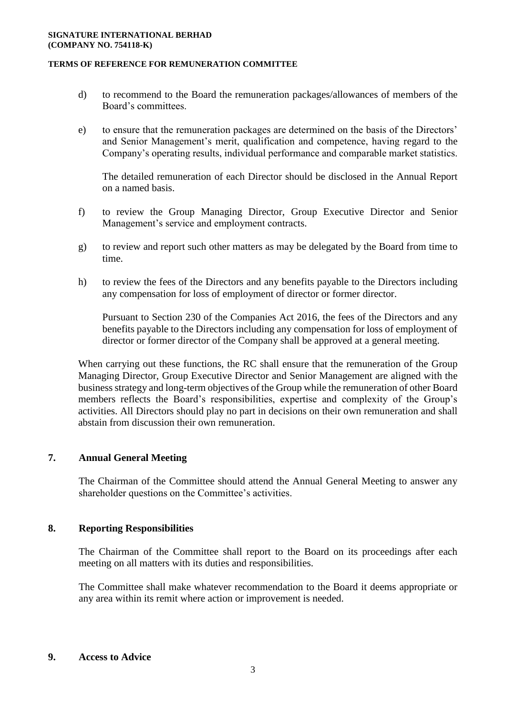#### **SIGNATURE INTERNATIONAL BERHAD (COMPANY NO. 754118-K)**

### **TERMS OF REFERENCE FOR REMUNERATION COMMITTEE**

- d) to recommend to the Board the remuneration packages/allowances of members of the Board's committees.
- e) to ensure that the remuneration packages are determined on the basis of the Directors' and Senior Management's merit, qualification and competence, having regard to the Company's operating results, individual performance and comparable market statistics.

The detailed remuneration of each Director should be disclosed in the Annual Report on a named basis.

- f) to review the Group Managing Director, Group Executive Director and Senior Management's service and employment contracts.
- g) to review and report such other matters as may be delegated by the Board from time to time.
- h) to review the fees of the Directors and any benefits payable to the Directors including any compensation for loss of employment of director or former director.

Pursuant to Section 230 of the Companies Act 2016, the fees of the Directors and any benefits payable to the Directors including any compensation for loss of employment of director or former director of the Company shall be approved at a general meeting.

When carrying out these functions, the RC shall ensure that the remuneration of the Group Managing Director, Group Executive Director and Senior Management are aligned with the business strategy and long-term objectives of the Group while the remuneration of other Board members reflects the Board's responsibilities, expertise and complexity of the Group's activities. All Directors should play no part in decisions on their own remuneration and shall abstain from discussion their own remuneration.

# **7. Annual General Meeting**

The Chairman of the Committee should attend the Annual General Meeting to answer any shareholder questions on the Committee's activities.

# **8. Reporting Responsibilities**

The Chairman of the Committee shall report to the Board on its proceedings after each meeting on all matters with its duties and responsibilities.

The Committee shall make whatever recommendation to the Board it deems appropriate or any area within its remit where action or improvement is needed.

## **9. Access to Advice**